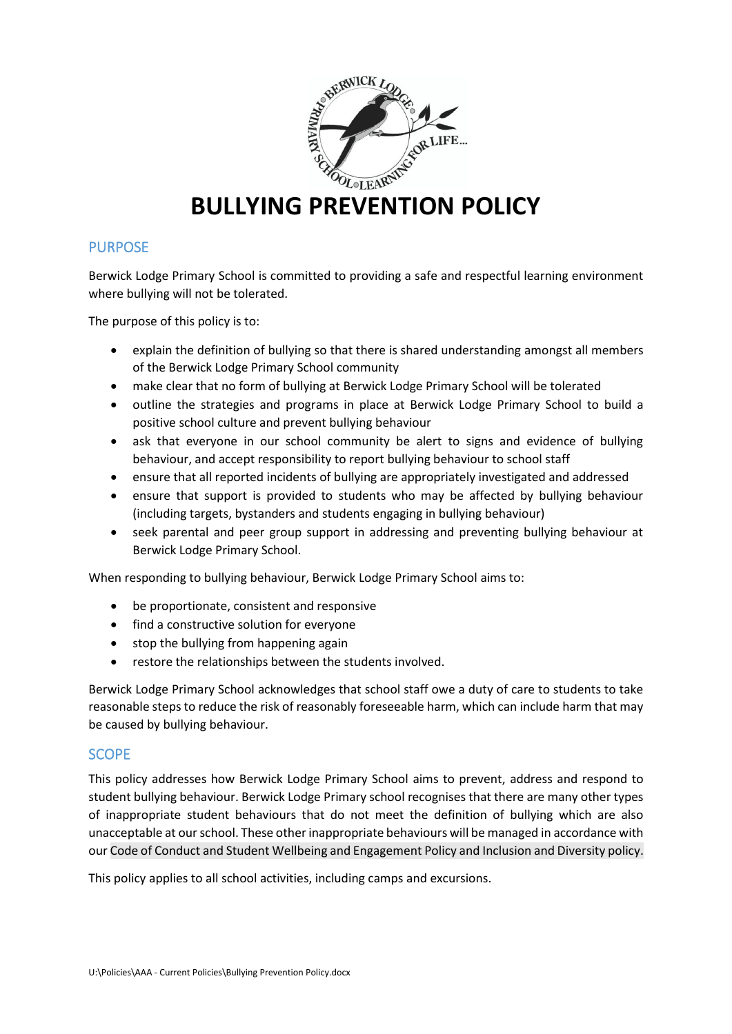

# **BULLYING PREVENTION POLICY**

## **PURPOSE**

Berwick Lodge Primary School is committed to providing a safe and respectful learning environment where bullying will not be tolerated.

The purpose of this policy is to:

- explain the definition of bullying so that there is shared understanding amongst all members of the Berwick Lodge Primary School community
- make clear that no form of bullying at Berwick Lodge Primary School will be tolerated
- outline the strategies and programs in place at Berwick Lodge Primary School to build a positive school culture and prevent bullying behaviour
- ask that everyone in our school community be alert to signs and evidence of bullying behaviour, and accept responsibility to report bullying behaviour to school staff
- ensure that all reported incidents of bullying are appropriately investigated and addressed
- ensure that support is provided to students who may be affected by bullying behaviour (including targets, bystanders and students engaging in bullying behaviour)
- seek parental and peer group support in addressing and preventing bullying behaviour at Berwick Lodge Primary School.

When responding to bullying behaviour, Berwick Lodge Primary School aims to:

- be proportionate, consistent and responsive
- find a constructive solution for everyone
- stop the bullying from happening again
- restore the relationships between the students involved.

Berwick Lodge Primary School acknowledges that school staff owe a duty of care to students to take reasonable steps to reduce the risk of reasonably foreseeable harm, which can include harm that may be caused by bullying behaviour.

### **SCOPE**

This policy addresses how Berwick Lodge Primary School aims to prevent, address and respond to student bullying behaviour. Berwick Lodge Primary school recognises that there are many other types of inappropriate student behaviours that do not meet the definition of bullying which are also unacceptable at our school. These other inappropriate behaviours will be managed in accordance with our Code of Conduct and Student Wellbeing and Engagement Policy and Inclusion and Diversity policy.

This policy applies to all school activities, including camps and excursions.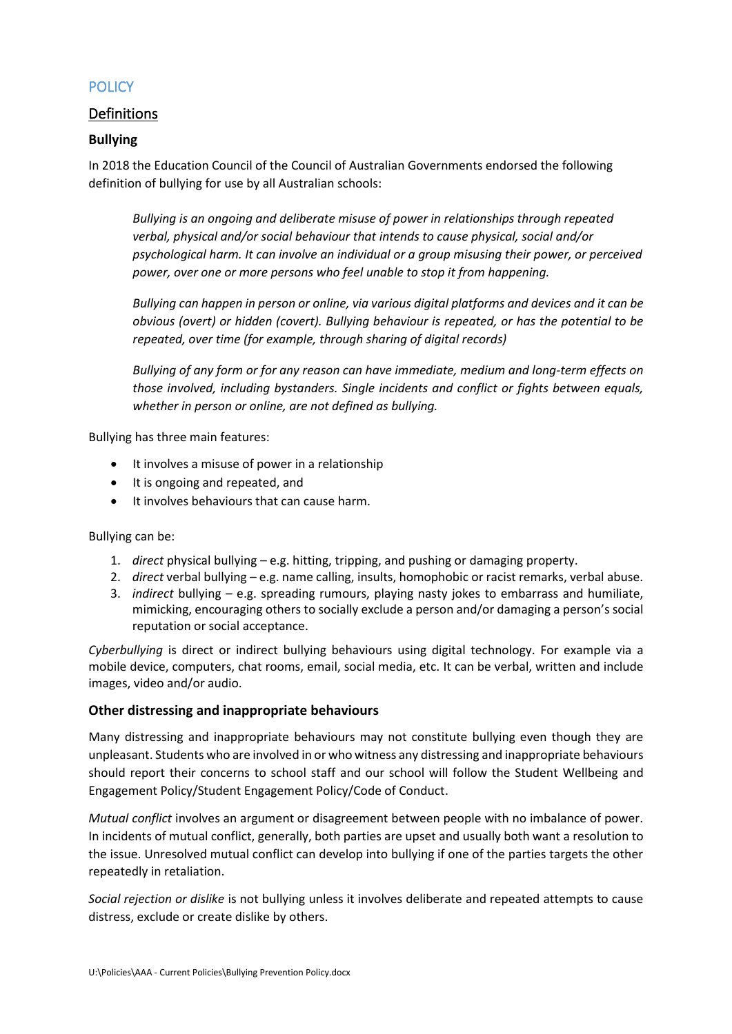# **POLICY**

# Definitions

### **Bullying**

In 2018 the Education Council of the Council of Australian Governments endorsed the following definition of bullying for use by all Australian schools:

*Bullying is an ongoing and deliberate misuse of power in relationships through repeated verbal, physical and/or social behaviour that intends to cause physical, social and/or psychological harm. It can involve an individual or a group misusing their power, or perceived power, over one or more persons who feel unable to stop it from happening.*

*Bullying can happen in person or online, via various digital platforms and devices and it can be obvious (overt) or hidden (covert). Bullying behaviour is repeated, or has the potential to be repeated, over time (for example, through sharing of digital records)*

*Bullying of any form or for any reason can have immediate, medium and long-term effects on those involved, including bystanders. Single incidents and conflict or fights between equals, whether in person or online, are not defined as bullying.*

Bullying has three main features:

- It involves a misuse of power in a relationship
- It is ongoing and repeated, and
- It involves behaviours that can cause harm.

Bullying can be:

- 1. *direct* physical bullying e.g. hitting, tripping, and pushing or damaging property.
- 2. *direct* verbal bullying e.g. name calling, insults, homophobic or racist remarks, verbal abuse.
- 3. *indirect* bullying e.g. spreading rumours, playing nasty jokes to embarrass and humiliate, mimicking, encouraging others to socially exclude a person and/or damaging a person's social reputation or social acceptance.

*Cyberbullying* is direct or indirect bullying behaviours using digital technology. For example via a mobile device, computers, chat rooms, email, social media, etc. It can be verbal, written and include images, video and/or audio.

#### **Other distressing and inappropriate behaviours**

Many distressing and inappropriate behaviours may not constitute bullying even though they are unpleasant. Students who are involved in or who witness any distressing and inappropriate behaviours should report their concerns to school staff and our school will follow the Student Wellbeing and Engagement Policy/Student Engagement Policy/Code of Conduct.

*Mutual conflict* involves an argument or disagreement between people with no imbalance of power. In incidents of mutual conflict, generally, both parties are upset and usually both want a resolution to the issue. Unresolved mutual conflict can develop into bullying if one of the parties targets the other repeatedly in retaliation.

*Social rejection or dislike* is not bullying unless it involves deliberate and repeated attempts to cause distress, exclude or create dislike by others.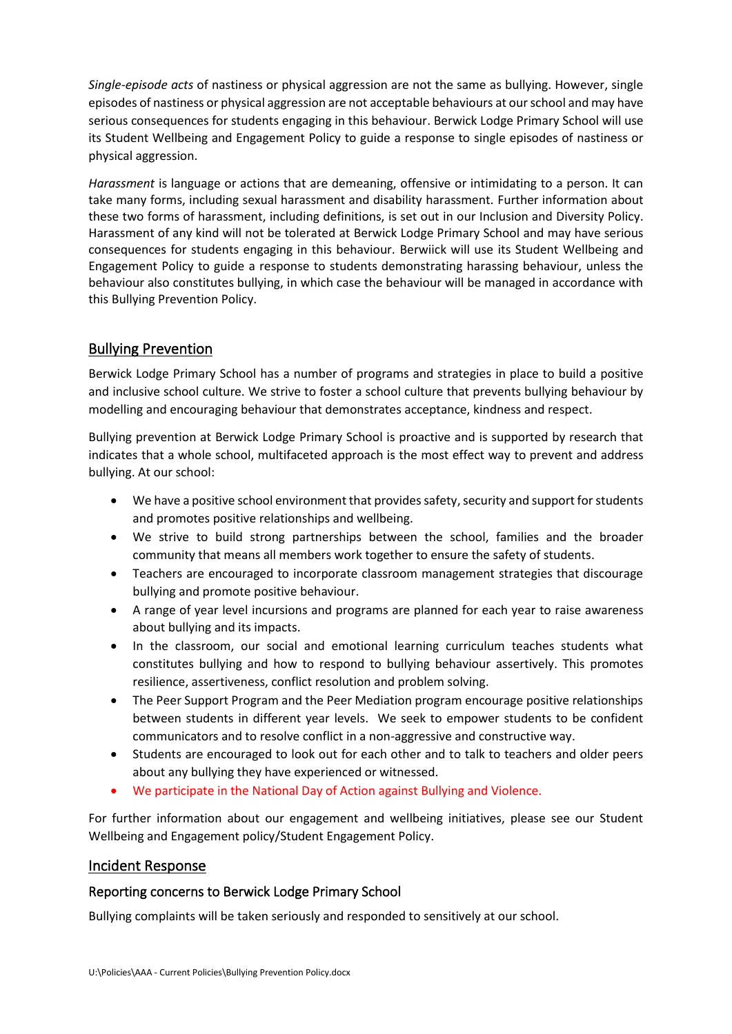*Single-episode acts* of nastiness or physical aggression are not the same as bullying. However, single episodes of nastiness or physical aggression are not acceptable behaviours at our school and may have serious consequences for students engaging in this behaviour. Berwick Lodge Primary School will use its Student Wellbeing and Engagement Policy to guide a response to single episodes of nastiness or physical aggression.

*Harassment* is language or actions that are demeaning, offensive or intimidating to a person. It can take many forms, including sexual harassment and disability harassment. Further information about these two forms of harassment, including definitions, is set out in our Inclusion and Diversity Policy. Harassment of any kind will not be tolerated at Berwick Lodge Primary School and may have serious consequences for students engaging in this behaviour. Berwiick will use its Student Wellbeing and Engagement Policy to guide a response to students demonstrating harassing behaviour, unless the behaviour also constitutes bullying, in which case the behaviour will be managed in accordance with this Bullying Prevention Policy.

# Bullying Prevention

Berwick Lodge Primary School has a number of programs and strategies in place to build a positive and inclusive school culture. We strive to foster a school culture that prevents bullying behaviour by modelling and encouraging behaviour that demonstrates acceptance, kindness and respect.

Bullying prevention at Berwick Lodge Primary School is proactive and is supported by research that indicates that a whole school, multifaceted approach is the most effect way to prevent and address bullying. At our school:

- We have a positive school environment that provides safety, security and support for students and promotes positive relationships and wellbeing.
- We strive to build strong partnerships between the school, families and the broader community that means all members work together to ensure the safety of students.
- Teachers are encouraged to incorporate classroom management strategies that discourage bullying and promote positive behaviour.
- A range of year level incursions and programs are planned for each year to raise awareness about bullying and its impacts.
- In the classroom, our social and emotional learning curriculum teaches students what constitutes bullying and how to respond to bullying behaviour assertively. This promotes resilience, assertiveness, conflict resolution and problem solving.
- The Peer Support Program and the Peer Mediation program encourage positive relationships between students in different year levels. We seek to empower students to be confident communicators and to resolve conflict in a non-aggressive and constructive way.
- Students are encouraged to look out for each other and to talk to teachers and older peers about any bullying they have experienced or witnessed.
- We participate in the National Day of Action against Bullying and Violence.

For further information about our engagement and wellbeing initiatives, please see our Student Wellbeing and Engagement policy/Student Engagement Policy.

## Incident Response

## Reporting concerns to Berwick Lodge Primary School

Bullying complaints will be taken seriously and responded to sensitively at our school.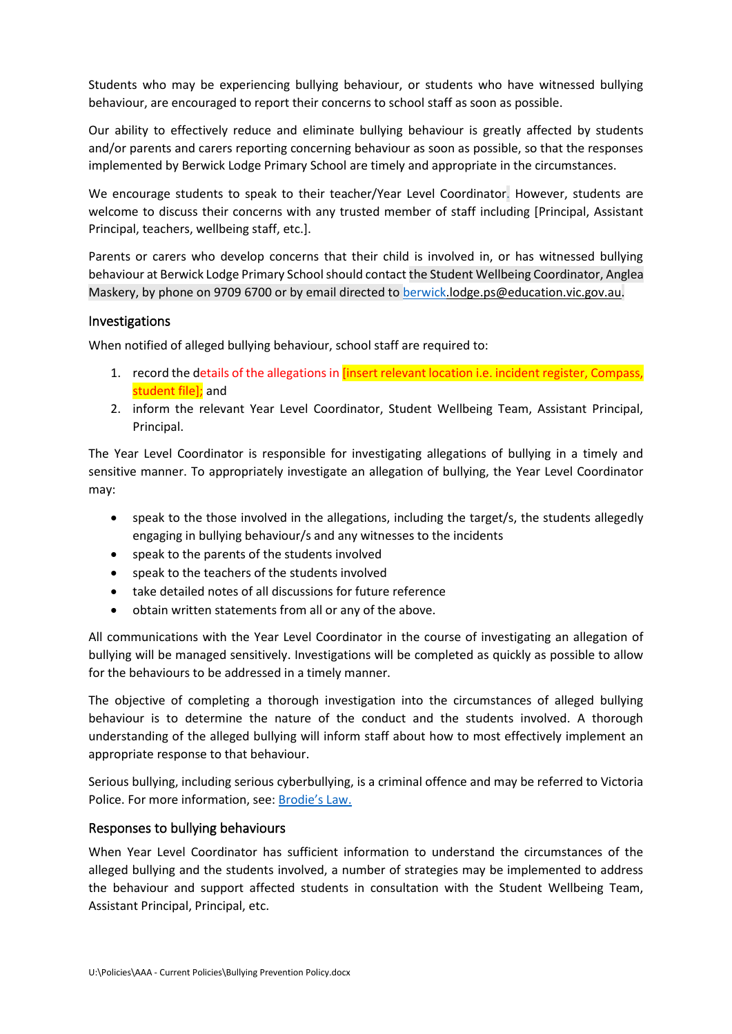Students who may be experiencing bullying behaviour, or students who have witnessed bullying behaviour, are encouraged to report their concerns to school staff as soon as possible.

Our ability to effectively reduce and eliminate bullying behaviour is greatly affected by students and/or parents and carers reporting concerning behaviour as soon as possible, so that the responses implemented by Berwick Lodge Primary School are timely and appropriate in the circumstances.

We encourage students to speak to their teacher/Year Level Coordinator. However, students are welcome to discuss their concerns with any trusted member of staff including [Principal, Assistant Principal, teachers, wellbeing staff, etc.].

Parents or carers who develop concerns that their child is involved in, or has witnessed bullying behaviour at Berwick Lodge Primary School should contact the Student Wellbeing Coordinator, Anglea Maskery, by phone on 9709 6700 or by email directed t[o berwick.](mailto:berwick)lodge.ps@education.vic.gov.au.

#### Investigations

When notified of alleged bullying behaviour, school staff are required to:

- 1. record the details of the allegations in [insert relevant location i.e. incident register, Compass, student file]; and
- 2. inform the relevant Year Level Coordinator, Student Wellbeing Team, Assistant Principal, Principal.

The Year Level Coordinator is responsible for investigating allegations of bullying in a timely and sensitive manner. To appropriately investigate an allegation of bullying, the Year Level Coordinator may:

- speak to the those involved in the allegations, including the target/s, the students allegedly engaging in bullying behaviour/s and any witnesses to the incidents
- speak to the parents of the students involved
- speak to the teachers of the students involved
- take detailed notes of all discussions for future reference
- obtain written statements from all or any of the above.

All communications with the Year Level Coordinator in the course of investigating an allegation of bullying will be managed sensitively. Investigations will be completed as quickly as possible to allow for the behaviours to be addressed in a timely manner.

The objective of completing a thorough investigation into the circumstances of alleged bullying behaviour is to determine the nature of the conduct and the students involved. A thorough understanding of the alleged bullying will inform staff about how to most effectively implement an appropriate response to that behaviour.

Serious bullying, including serious cyberbullying, is a criminal offence and may be referred to Victoria Police. For more information, see: [Brodie's Law.](http://www.education.vic.gov.au/about/programs/bullystoppers/Pages/advicesheetbrodieslaw.aspx)

### Responses to bullying behaviours

When Year Level Coordinator has sufficient information to understand the circumstances of the alleged bullying and the students involved, a number of strategies may be implemented to address the behaviour and support affected students in consultation with the Student Wellbeing Team, Assistant Principal, Principal, etc.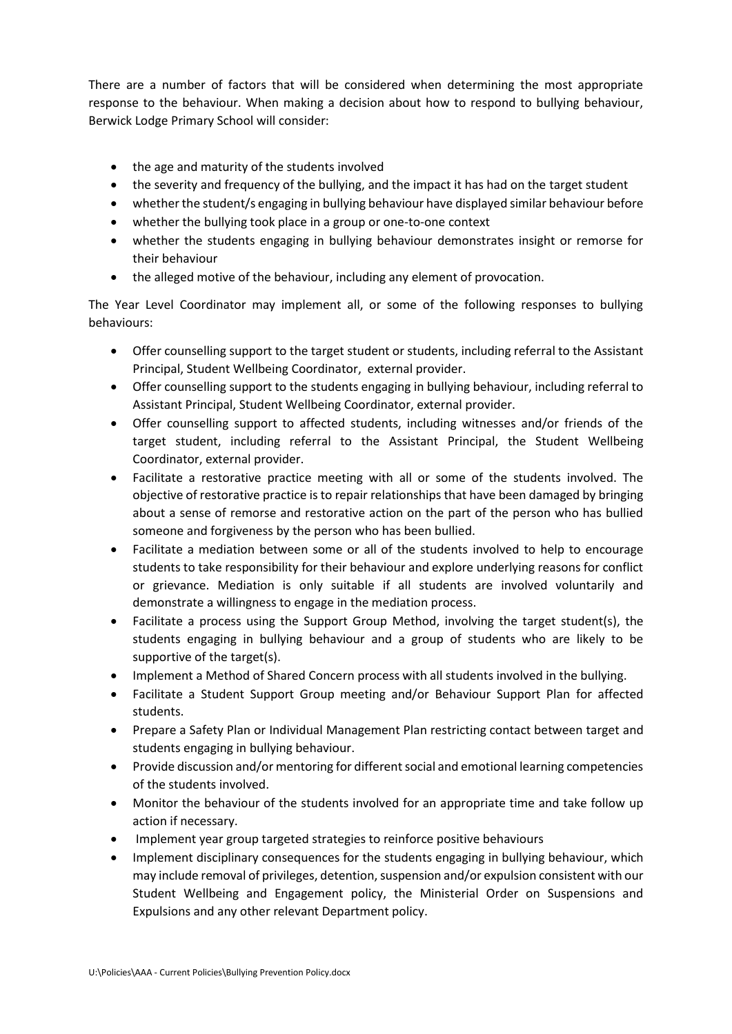There are a number of factors that will be considered when determining the most appropriate response to the behaviour. When making a decision about how to respond to bullying behaviour, Berwick Lodge Primary School will consider:

- the age and maturity of the students involved
- the severity and frequency of the bullying, and the impact it has had on the target student
- whether the student/s engaging in bullying behaviour have displayed similar behaviour before
- whether the bullying took place in a group or one-to-one context
- whether the students engaging in bullying behaviour demonstrates insight or remorse for their behaviour
- the alleged motive of the behaviour, including any element of provocation.

The Year Level Coordinator may implement all, or some of the following responses to bullying behaviours:

- Offer counselling support to the target student or students, including referral to the Assistant Principal, Student Wellbeing Coordinator, external provider.
- Offer counselling support to the students engaging in bullying behaviour, including referral to Assistant Principal, Student Wellbeing Coordinator, external provider.
- Offer counselling support to affected students, including witnesses and/or friends of the target student, including referral to the Assistant Principal, the Student Wellbeing Coordinator, external provider.
- Facilitate a restorative practice meeting with all or some of the students involved. The objective of restorative practice is to repair relationships that have been damaged by bringing about a sense of remorse and restorative action on the part of the person who has bullied someone and forgiveness by the person who has been bullied.
- Facilitate a mediation between some or all of the students involved to help to encourage students to take responsibility for their behaviour and explore underlying reasons for conflict or grievance. Mediation is only suitable if all students are involved voluntarily and demonstrate a willingness to engage in the mediation process.
- Facilitate a process using the Support Group Method, involving the target student(s), the students engaging in bullying behaviour and a group of students who are likely to be supportive of the target(s).
- Implement a Method of Shared Concern process with all students involved in the bullying.
- Facilitate a Student Support Group meeting and/or Behaviour Support Plan for affected students.
- Prepare a Safety Plan or Individual Management Plan restricting contact between target and students engaging in bullying behaviour.
- Provide discussion and/or mentoring for different social and emotional learning competencies of the students involved.
- Monitor the behaviour of the students involved for an appropriate time and take follow up action if necessary.
- Implement year group targeted strategies to reinforce positive behaviours
- Implement disciplinary consequences for the students engaging in bullying behaviour, which may include removal of privileges, detention, suspension and/or expulsion consistent with our Student Wellbeing and Engagement policy, the Ministerial Order on Suspensions and Expulsions and any other relevant Department policy.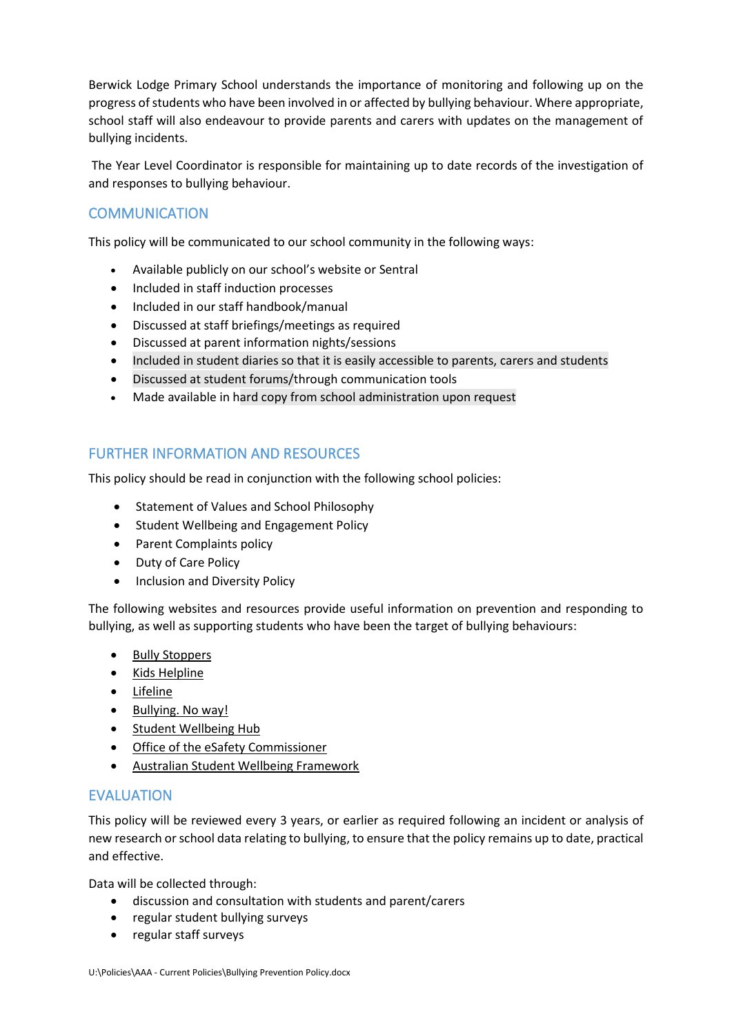Berwick Lodge Primary School understands the importance of monitoring and following up on the progress of students who have been involved in or affected by bullying behaviour. Where appropriate, school staff will also endeavour to provide parents and carers with updates on the management of bullying incidents.

The Year Level Coordinator is responsible for maintaining up to date records of the investigation of and responses to bullying behaviour.

# **COMMUNICATION**

This policy will be communicated to our school community in the following ways:

- Available publicly on our school's website or Sentral
- Included in staff induction processes
- Included in our staff handbook/manual
- Discussed at staff briefings/meetings as required
- Discussed at parent information nights/sessions
- Included in student diaries so that it is easily accessible to parents, carers and students
- Discussed at student forums/through communication tools
- Made available in hard copy from school administration upon request

## FURTHER INFORMATION AND RESOURCES

This policy should be read in conjunction with the following school policies:

- Statement of Values and School Philosophy
- Student Wellbeing and Engagement Policy
- Parent Complaints policy
- Duty of Care Policy
- Inclusion and Diversity Policy

The following websites and resources provide useful information on prevention and responding to bullying, as well as supporting students who have been the target of bullying behaviours:

- [Bully Stoppers](https://www.education.vic.gov.au/about/programs/bullystoppers/Pages/default.aspx)
- Kids [Helpline](https://kidshelpline.com.au/)
- [Lifeline](https://www.lifeline.org.au/)
- [Bullying. No way!](https://bullyingnoway.gov.au/)
- [Student Wellbeing Hub](https://www.studentwellbeinghub.edu.au/)
- [Office of the eSafety Commissioner](https://www.esafety.gov.au/)
- [Australian Student Wellbeing Framework](https://studentwellbeinghub.edu.au/educators/resources/australian-student-wellbeing-framework/)

## EVALUATION

This policy will be reviewed every 3 years, or earlier as required following an incident or analysis of new research or school data relating to bullying, to ensure that the policy remains up to date, practical and effective.

Data will be collected through:

- discussion and consultation with students and parent/carers
- regular student bullying surveys
- regular staff surveys